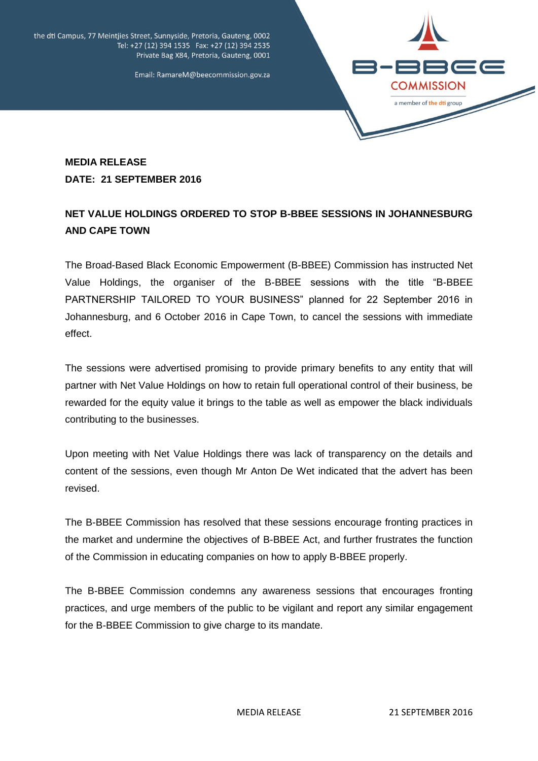

the dti Campus, 77 Meintjies Street, Sunnyside, Pretoria, Gauteng, 0002 Tel: +27 (12) 394 1535 Fax: +27 (12) 394 2535 Private Bag X84, Pretoria, Gauteng, 0001

Email: RamareM@beecommission.gov.za

## **MEDIA RELEASE DATE: 21 SEPTEMBER 2016**

## **NET VALUE HOLDINGS ORDERED TO STOP B-BBEE SESSIONS IN JOHANNESBURG AND CAPE TOWN**

The Broad-Based Black Economic Empowerment (B-BBEE) Commission has instructed Net Value Holdings, the organiser of the B-BBEE sessions with the title "B-BBEE PARTNERSHIP TAILORED TO YOUR BUSINESS" planned for 22 September 2016 in Johannesburg, and 6 October 2016 in Cape Town, to cancel the sessions with immediate effect.

The sessions were advertised promising to provide primary benefits to any entity that will partner with Net Value Holdings on how to retain full operational control of their business, be rewarded for the equity value it brings to the table as well as empower the black individuals contributing to the businesses.

Upon meeting with Net Value Holdings there was lack of transparency on the details and content of the sessions, even though Mr Anton De Wet indicated that the advert has been revised.

The B-BBEE Commission has resolved that these sessions encourage fronting practices in the market and undermine the objectives of B-BBEE Act, and further frustrates the function of the Commission in educating companies on how to apply B-BBEE properly.

The B-BBEE Commission condemns any awareness sessions that encourages fronting practices, and urge members of the public to be vigilant and report any similar engagement for the B-BBEE Commission to give charge to its mandate.